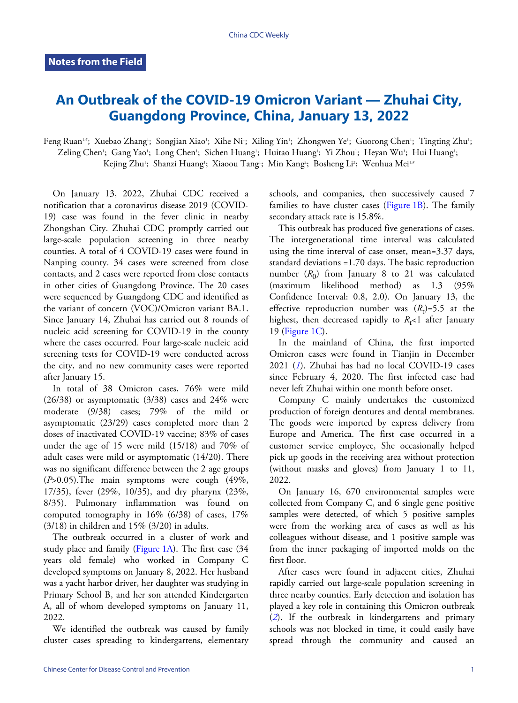## **An Outbreak of the COVID-19 Omicron Variant — Zhuhai City, Guangdong Province, China, January 13, 2022**

Feng Ruan<sup>1,</sup>"; Xuebao Zhang'; Songjian Xiao'; Xihe Ni'; Xiling Yin'; Zhongwen Ye'; Guorong Chen'; Tingting Zhu'; Zeling Chen'; Gang Yao'; Long Chen'; Sichen Huang'; Huitao Huang'; Yi Zhou'; Heyan Wu'; Hui Huang'; Kejing Zhu<sup>1</sup>; Shanzi Huang<sup>1</sup>; Xiaoou Tang<sup>1</sup>; Min Kang<sup>2</sup>; Bosheng Li<sup>2</sup>; Wenhua Mei<sup>1,#</sup>

On January 13, 2022, Zhuhai CDC received a notification that a coronavirus disease 2019 (COVID-19) case was found in the fever clinic in nearby Zhongshan City. Zhuhai CDC promptly carried out large-scale population screening in three nearby counties. A total of 4 COVID-19 cases were found in Nanping county. 34 cases were screened from close contacts, and 2 cases were reported from close contacts in other cities of Guangdong Province. The 20 cases were sequenced by Guangdong CDC and identified as the variant of concern (VOC)/Omicron variant BA.1. Since January 14, Zhuhai has carried out 8 rounds of nucleic acid screening for COVID-19 in the county where the cases occurred. Four large-scale nucleic acid screening tests for COVID-19 were conducted across the city, and no new community cases were reported after January 15.

In total of 38 Omicron cases, 76% were mild  $(26/38)$  or asymptomatic  $(3/38)$  cases and  $24\%$  were moderate (9/38) cases; 79% of the mild or asymptomatic (23/29) cases completed more than 2 doses of inactivated COVID-19 vaccine; 83% of cases under the age of 15 were mild (15/18) and 70% of adult cases were mild or asymptomatic (14/20). There was no significant difference between the 2 age groups  $(P>0.05)$ . The main symptoms were cough  $(49\%,$ 17/35), fever (29%, 10/35), and dry pharynx (23%, 8/35). Pulmonary inflammation was found on computed tomography in  $16\%$  (6/38) of cases,  $17\%$ (3/18) in children and 15% (3/20) in adults.

The outbreak occurred in a cluster of work and study place and family [\(Figure 1A\)](#page-1-0). The first case (34 years old female) who worked in Company C developed symptoms on January 8, 2022. Her husband was a yacht harbor driver, her daughter was studying in Primary School B, and her son attended Kindergarten A, all of whom developed symptoms on January 11, 2022.

We identified the outbreak was caused by family cluster cases spreading to kindergartens, elementary schools, and companies, then successively caused 7 familiesto have cluster cases (Figure  $1B$ ). The family secondary attack rate is 15.8%.

This outbreak has produced five generations of cases. The intergenerational time interval was calculated using the time interval of case onset, mean=3.37 days, standard deviations =1.70 days. The basic reproduction number  $(R_0)$  from January 8 to 21 was calculated (maximum likelihood method) as 1.3 (95% Confidence Interval: 0.8, 2.0). On January 13, the effective reproduction number was  $(R_t) = 5.5$  at the highest, then decreased rapidly to  $R_t$ <1 after January 19 ([Figure 1C](#page-1-0)).

In the mainland of China, the first imported Omicron cases were found in Tianjin in December 2021 (*[1](#page-2-0)*). Zhuhai has had no local COVID-19 cases since February 4, 2020. The first infected case had never left Zhuhai within one month before onset.

Company C mainly undertakes the customized production of foreign dentures and dental membranes. The goods were imported by express delivery from Europe and America. The first case occurred in a customer service employee, She occasionally helped pick up goods in the receiving area without protection (without masks and gloves) from January 1 to 11, 2022.

On January 16, 670 environmental samples were collected from Company C, and 6 single gene positive samples were detected, of which 5 positive samples were from the working area of cases as well as his colleagues without disease, and 1 positive sample was from the inner packaging of imported molds on the first floor.

After cases were found in adjacent cities, Zhuhai rapidly carried out large-scale population screening in three nearby counties. Early detection and isolation has played a key role in containing this Omicron outbreak (*[2](#page-2-1)*). If the outbreak in kindergartens and primary schools was not blocked in time, it could easily have spread through the community and caused an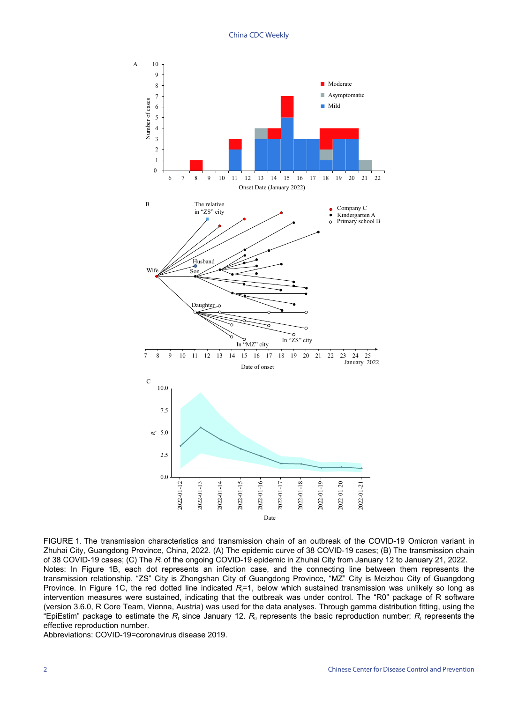<span id="page-1-0"></span>

FIGURE 1. The transmission characteristics and transmission chain of an outbreak of the COVID-19 Omicron variant in Zhuhai City, Guangdong Province, China, 2022. (A) The epidemic curve of 38 COVID-19 cases; (B) The transmission chain of 38 COVID-19 cases; (C) The R<sub>t</sub> of the ongoing COVID-19 epidemic in Zhuhai City from January 12 to January 21, 2022. Notes: In Figure 1B, each dot represents an infection case, and the connecting line between them represents the transmission relationship. "ZS" City is Zhongshan City of Guangdong Province, "MZ" City is Meizhou City of Guangdong Province. In Figure 1C, the red dotted line indicated *R*<sub>i</sub>=1, below which sustained transmission was unlikely so long as intervention measures were sustained, indicating that the outbreak was under control. The "R0" package of R software (version 3.6.0, R Core Team, Vienna, Austria) was used for the data analyses. Through gamma distribution fitting, using the "EpiEstim" package to estimate the  $R_{\text{t}}$  since January 12.  $R_{\text{o}}$  represents the basic reproduction number;  $R_{\text{t}}$  represents the effective reproduction number.

Abbreviations: COVID-19=coronavirus disease 2019.